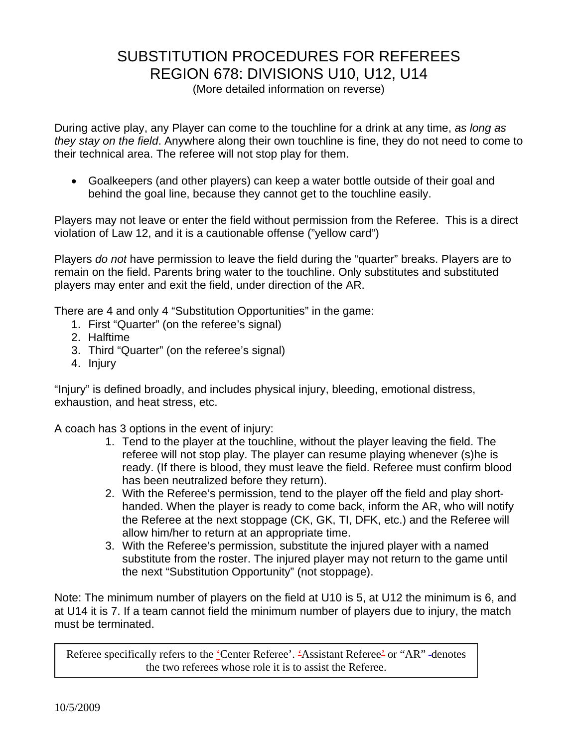# SUBSTITUTION PROCEDURES FOR REFEREES REGION 678: DIVISIONS U10, U12, U14

(More detailed information on reverse)

During active play, any Player can come to the touchline for a drink at any time, *as long as they stay on the field*. Anywhere along their own touchline is fine, they do not need to come to their technical area. The referee will not stop play for them.

• Goalkeepers (and other players) can keep a water bottle outside of their goal and behind the goal line, because they cannot get to the touchline easily.

Players may not leave or enter the field without permission from the Referee. This is a direct violation of Law 12, and it is a cautionable offense ("yellow card")

Players *do not* have permission to leave the field during the "quarter" breaks. Players are to remain on the field. Parents bring water to the touchline. Only substitutes and substituted players may enter and exit the field, under direction of the AR.

There are 4 and only 4 "Substitution Opportunities" in the game:

- 1. First "Quarter" (on the referee's signal)
- 2. Halftime
- 3. Third "Quarter" (on the referee's signal)
- 4. Injury

"Injury" is defined broadly, and includes physical injury, bleeding, emotional distress, exhaustion, and heat stress, etc.

A coach has 3 options in the event of injury:

- 1. Tend to the player at the touchline, without the player leaving the field. The referee will not stop play. The player can resume playing whenever (s)he is ready. (If there is blood, they must leave the field. Referee must confirm blood has been neutralized before they return).
- 2. With the Referee's permission, tend to the player off the field and play shorthanded. When the player is ready to come back, inform the AR, who will notify the Referee at the next stoppage (CK, GK, TI, DFK, etc.) and the Referee will allow him/her to return at an appropriate time.
- 3. With the Referee's permission, substitute the injured player with a named substitute from the roster. The injured player may not return to the game until the next "Substitution Opportunity" (not stoppage).

Note: The minimum number of players on the field at U10 is 5, at U12 the minimum is 6, and at U14 it is 7. If a team cannot field the minimum number of players due to injury, the match must be terminated.

Referee specifically refers to the 'Center Referee'. 'Assistant Referee' or "AR" -denotes the two referees whose role it is to assist the Referee.